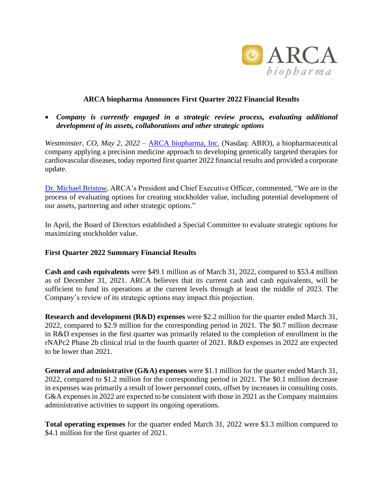

## **ARCA biopharma Announces First Quarter 2022 Financial Results**

• *Company is currently engaged in a strategic review process, evaluating additional development of its assets, collaborations and other strategic options*

*Westminster, CO, May 2, 2022* – [ARCA biopharma, Inc.](http://www.arcabio.com/) (Nasdaq: ABIO), a biopharmaceutical company applying a precision medicine approach to developing genetically targeted therapies for cardiovascular diseases, today reported first quarter 2022 financial results and provided a corporate update.

[Dr. Michael Bristow,](http://arcabio.com/people/michael-bristow/) ARCA's President and Chief Executive Officer, commented, "We are in the process of evaluating options for creating stockholder value, including potential development of our assets, partnering and other strategic options."

In April, the Board of Directors established a Special Committee to evaluate strategic options for maximizing stockholder value.

#### **First Quarter 2022 Summary Financial Results**

**Cash and cash equivalents** were \$49.1 million as of March 31, 2022, compared to \$53.4 million as of December 31, 2021. ARCA believes that its current cash and cash equivalents, will be sufficient to fund its operations at the current levels through at least the middle of 2023. The Company's review of its strategic options may impact this projection.

**Research and development (R&D) expenses** were \$2.2 million for the quarter ended March 31, 2022, compared to \$2.9 million for the corresponding period in 2021. The \$0.7 million decrease in R&D expenses in the first quarter was primarily related to the completion of enrollment in the rNAPc2 Phase 2b clinical trial in the fourth quarter of 2021. R&D expenses in 2022 are expected to be lower than 2021.

**General and administrative (G&A) expenses** were \$1.1 million for the quarter ended March 31, 2022, compared to \$1.2 million for the corresponding period in 2021. The \$0.1 million decrease in expenses was primarily a result of lower personnel costs, offset by increases in consulting costs. G&A expenses in 2022 are expected to be consistent with those in 2021 as the Company maintains administrative activities to support its ongoing operations.

**Total operating expenses** for the quarter ended March 31, 2022 were \$3.3 million compared to \$4.1 million for the first quarter of 2021.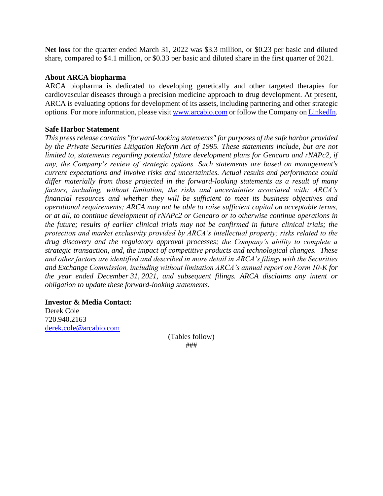**Net loss** for the quarter ended March 31, 2022 was \$3.3 million, or \$0.23 per basic and diluted share, compared to \$4.1 million, or \$0.33 per basic and diluted share in the first quarter of 2021.

### **About ARCA biopharma**

ARCA biopharma is dedicated to developing genetically and other targeted therapies for cardiovascular diseases through a precision medicine approach to drug development. At present, ARCA is evaluating options for development of its assets, including partnering and other strategic options. For more information, please visit [www.arcabio.com](http://www.arcabio.com/) or follow the Company on [LinkedIn.](http://www.linkedin.com/company/arca-biopharma-inc./)

## **Safe Harbor Statement**

*This press release contains "forward-looking statements" for purposes of the safe harbor provided by the Private Securities Litigation Reform Act of 1995. These statements include, but are not limited to, statements regarding potential future development plans for Gencaro and rNAPc2, if any, the Company's review of strategic options. Such statements are based on management's current expectations and involve risks and uncertainties. Actual results and performance could differ materially from those projected in the forward-looking statements as a result of many factors, including, without limitation, the risks and uncertainties associated with: ARCA's financial resources and whether they will be sufficient to meet its business objectives and operational requirements; ARCA may not be able to raise sufficient capital on acceptable terms, or at all, to continue development of rNAPc2 or Gencaro or to otherwise continue operations in the future; results of earlier clinical trials may not be confirmed in future clinical trials; the protection and market exclusivity provided by ARCA's intellectual property; risks related to the drug discovery and the regulatory approval processes; the Company's ability to complete a strategic transaction, and, the impact of competitive products and technological changes. These and other factors are identified and described in more detail in ARCA's filings with the Securities and Exchange Commission, including without limitation ARCA's annual report on Form 10-K for the year ended December 31, 2021, and subsequent filings. ARCA disclaims any intent or obligation to update these forward-looking statements.*

#### **Investor & Media Contact:** Derek Cole 720.940.2163

[derek.cole@arcabio.com](mailto:derek.cole@arcabio.com)

(Tables follow) ###